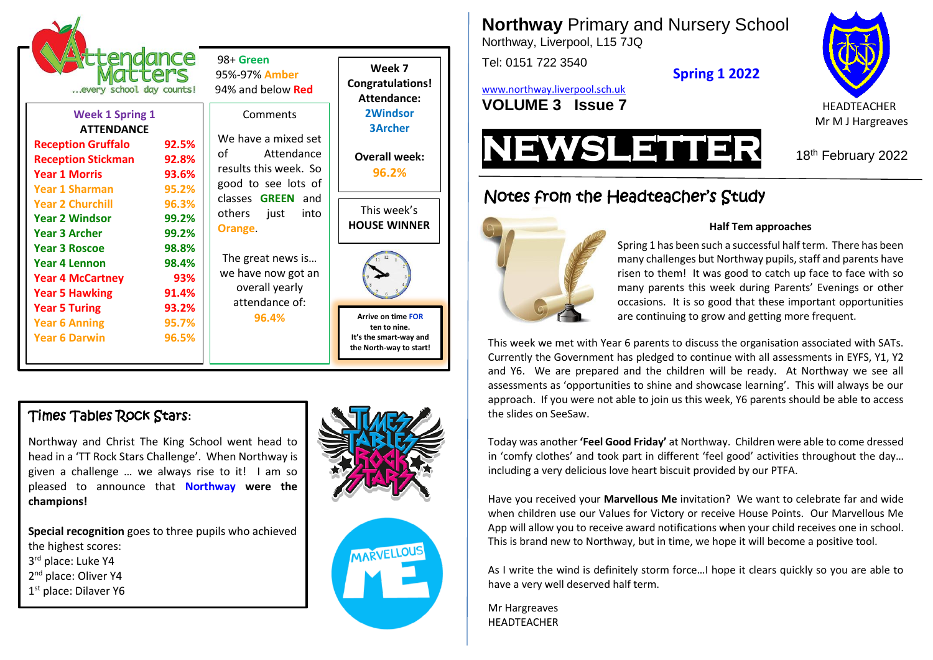

## Times Tables Rock Stars**:**

Northway and Christ The King School went head to head in a 'TT Rock Stars Challenge'. When Northway is given a challenge … we always rise to it! I am so pleased to announce that **Northway were the champions!**

**Special recognition** goes to three pupils who achieved the highest scores: 3 rd place: Luke Y4

2<sup>nd</sup> place: Oliver Y4

1<sup>st</sup> place: Dilaver Y6





**Northway** Primary and Nursery School

Northway, Liverpool, L15 7JQ

Tel: 0151 722 3540

**Spring 1 2022**

[www.northway.liverpool.sch.uk](http://www.northway.liverpool.sch.uk/) **VOLUME 3 ISSUE 7** HEADTEACHER









### **Half Tem approaches**

Spring 1 has been such a successful half term. There has been many challenges but Northway pupils, staff and parents have risen to them! It was good to catch up face to face with so many parents this week during Parents' Evenings or other occasions. It is so good that these important opportunities are continuing to grow and getting more frequent.

This week we met with Year 6 parents to discuss the organisation associated with SATs. Currently the Government has pledged to continue with all assessments in EYFS, Y1, Y2 and Y6. We are prepared and the children will be ready. At Northway we see all assessments as 'opportunities to shine and showcase learning'. This will always be our approach. If you were not able to join us this week, Y6 parents should be able to access the slides on SeeSaw.

Today was another **'Feel Good Friday'** at Northway. Children were able to come dressed in 'comfy clothes' and took part in different 'feel good' activities throughout the day… including a very delicious love heart biscuit provided by our PTFA.

Have you received your **Marvellous Me** invitation? We want to celebrate far and wide when children use our Values for Victory or receive House Points. Our Marvellous Me App will allow you to receive award notifications when your child receives one in school. This is brand new to Northway, but in time, we hope it will become a positive tool.

As I write the wind is definitely storm force…I hope it clears quickly so you are able to have a very well deserved half term.

Mr Hargreaves **HEADTFACHER** 

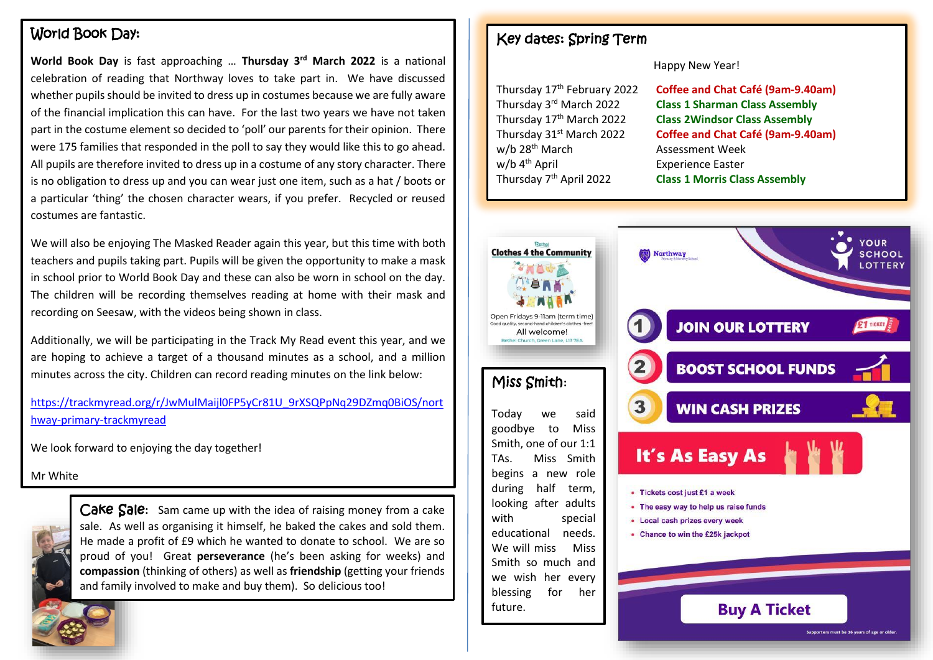# World Book Day:

**World Book Day** is fast approaching … **Thursday 3rd March 2022** is a national celebration of reading that Northway loves to take part in. We have discussed whether pupils should be invited to dress up in costumes because we are fully aware of the financial implication this can have. For the last two years we have not taken part in the costume element so decided to 'poll' our parents for their opinion. There were 175 families that responded in the poll to say they would like this to go ahead. All pupils are therefore invited to dress up in a costume of any story character. There is no obligation to dress up and you can wear just one item, such as a hat / boots or a particular 'thing' the chosen character wears, if you prefer. Recycled or reused costumes are fantastic.

We will also be enjoying The Masked Reader again this year, but this time with both teachers and pupils taking part. Pupils will be given the opportunity to make a mask in school prior to World Book Day and these can also be worn in school on the day. The children will be recording themselves reading at home with their mask and recording on Seesaw, with the videos being shown in class.

Additionally, we will be participating in the Track My Read event this year, and we are hoping to achieve a target of a thousand minutes as a school, and a million minutes across the city. Children can record reading minutes on the link below:

[https://trackmyread.org/r/JwMulMaijl0FP5yCr81U\\_9rXSQPpNq29DZmq0BiOS/nort](https://trackmyread.org/r/JwMulMaijl0FP5yCr81U_9rXSQPpNq29DZmq0BiOS/northway-primary-trackmyread) [hway-primary-trackmyread](https://trackmyread.org/r/JwMulMaijl0FP5yCr81U_9rXSQPpNq29DZmq0BiOS/northway-primary-trackmyread)

We look forward to enjoying the day together!

Mr White



Cake Sale: Sam came up with the idea of raising money from a cake sale. As well as organising it himself, he baked the cakes and sold them. He made a profit of £9 which he wanted to donate to school. We are so proud of you! Great **perseverance** (he's been asking for weeks) and **compassion** (thinking of others) as well as **friendship** (getting your friends and family involved to make and buy them). So delicious too!

## Key dates: Spring Term

Happy New Year!

| Thursday 17 <sup>th</sup> February 2022 | Coffee and Chat Café (9am-9.40am)     |
|-----------------------------------------|---------------------------------------|
| Thursday 3 <sup>rd</sup> March 2022     | <b>Class 1 Sharman Class Assembly</b> |
| Thursday 17 <sup>th</sup> March 2022    | <b>Class 2Windsor Class Assembly</b>  |
| Thursday 31st March 2022                | Coffee and Chat Café (9am-9.40am)     |
| w/b 28 <sup>th</sup> March              | <b>Assessment Week</b>                |
| w/b 4 <sup>th</sup> April               | <b>Experience Easter</b>              |
| Thursday 7 <sup>th</sup> April 2022     | <b>Class 1 Morris Class Assembly</b>  |
|                                         |                                       |